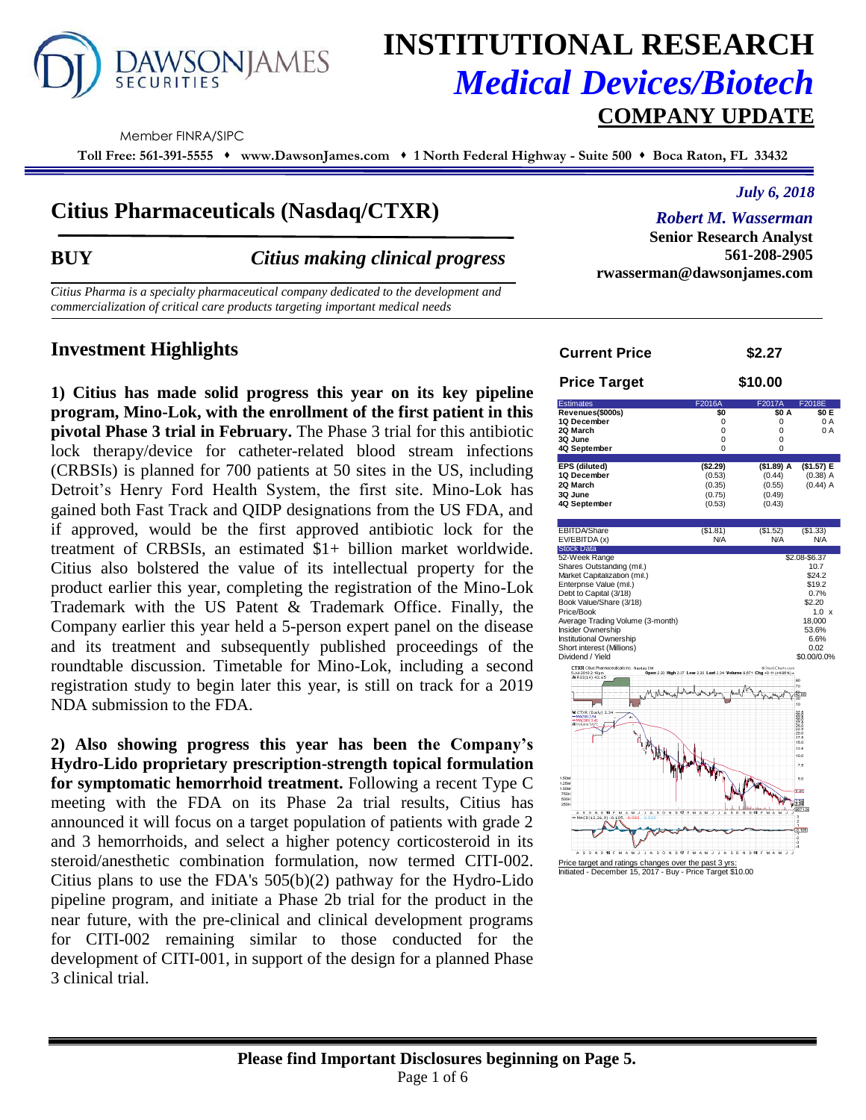# VSONJAMES **SECURITIES**

## **INSTITUTIONAL RESEARCH** *Medical Devices/Biotech* **COMPANY UPDATE**

Member FINRA/SIPC

**Toll Free: 561-391-5555 www.DawsonJames.com 1 North Federal Highway - Suite 500 Boca Raton, FL 33432**

### **Citius Pharmaceuticals (Nasdaq/CTXR)**

**BUY** *Citius making clinical progress*

*Citius Pharma is a specialty pharmaceutical company dedicated to the development and commercialization of critical care products targeting important medical needs* 

### **Investment Highlights**

**1) Citius has made solid progress this year on its key pipeline program, Mino-Lok, with the enrollment of the first patient in this pivotal Phase 3 trial in February.** The Phase 3 trial for this antibiotic lock therapy/device for catheter-related blood stream infections (CRBSIs) is planned for 700 patients at 50 sites in the US, including Detroit's Henry Ford Health System, the first site. Mino-Lok has gained both Fast Track and QIDP designations from the US FDA, and if approved, would be the first approved antibiotic lock for the treatment of CRBSIs, an estimated \$1+ billion market worldwide. Citius also bolstered the value of its intellectual property for the product earlier this year, completing the registration of the Mino-Lok Trademark with the US Patent & Trademark Office. Finally, the Company earlier this year held a 5-person expert panel on the disease and its treatment and subsequently published proceedings of the roundtable discussion. Timetable for Mino-Lok, including a second registration study to begin later this year, is still on track for a 2019 NDA submission to the FDA.

**2) Also showing progress this year has been the Company's Hydro-Lido proprietary prescription-strength topical formulation for symptomatic hemorrhoid treatment.** Following a recent Type C meeting with the FDA on its Phase 2a trial results, Citius has announced it will focus on a target population of patients with grade 2 and 3 hemorrhoids, and select a higher potency corticosteroid in its steroid/anesthetic combination formulation, now termed CITI-002. Citius plans to use the FDA's 505(b)(2) pathway for the Hydro-Lido pipeline program, and initiate a Phase 2b trial for the product in the near future, with the pre-clinical and clinical development programs for CITI-002 remaining similar to those conducted for the development of CITI-001, in support of the design for a planned Phase 3 clinical trial.

#### *July 6, 2018*

#### *Robert M. Wasserman*

**Senior Research Analyst 561-208-2905 rwasserman@dawsonjames.com**

| <b>Current Price</b>                                                                                                                                                                                                                                                                                                                                                                                                                                                                                                                                                                                                                                                                                                                                                                                                                                            |                                                                                                                           | \$2.27                                              |                                                                                                                                                                                                                                                                                                                     |
|-----------------------------------------------------------------------------------------------------------------------------------------------------------------------------------------------------------------------------------------------------------------------------------------------------------------------------------------------------------------------------------------------------------------------------------------------------------------------------------------------------------------------------------------------------------------------------------------------------------------------------------------------------------------------------------------------------------------------------------------------------------------------------------------------------------------------------------------------------------------|---------------------------------------------------------------------------------------------------------------------------|-----------------------------------------------------|---------------------------------------------------------------------------------------------------------------------------------------------------------------------------------------------------------------------------------------------------------------------------------------------------------------------|
| <b>Price Target</b>                                                                                                                                                                                                                                                                                                                                                                                                                                                                                                                                                                                                                                                                                                                                                                                                                                             |                                                                                                                           | \$10.00                                             |                                                                                                                                                                                                                                                                                                                     |
| <b>Estimates</b><br>Revenues(\$000s)<br>1Q December<br>2Q March<br>3Q June<br>4Q September                                                                                                                                                                                                                                                                                                                                                                                                                                                                                                                                                                                                                                                                                                                                                                      | F2016A<br>\$0<br>0<br>0<br>0<br>$\Omega$                                                                                  | F2017A<br>\$0 A<br>0<br>0<br>0<br>$\Omega$          | F2018E<br>SO E<br>0 A<br>0A                                                                                                                                                                                                                                                                                         |
| EPS (diluted)<br>1Q December<br>20 March<br>3Q June<br>4Q September                                                                                                                                                                                                                                                                                                                                                                                                                                                                                                                                                                                                                                                                                                                                                                                             | ( \$2.29)<br>(0.53)<br>(0.35)<br>(0.75)<br>(0.53)                                                                         | $($1.89)$ A<br>(0.44)<br>(0.55)<br>(0.49)<br>(0.43) | (\$1.57) E<br>$(0.38)$ A<br>$(0.44)$ A                                                                                                                                                                                                                                                                              |
| <b>EBITDA/Share</b><br>EV/EBITDA (x)<br><b>Stock Data</b>                                                                                                                                                                                                                                                                                                                                                                                                                                                                                                                                                                                                                                                                                                                                                                                                       | (\$1.81)<br>N/A                                                                                                           | (\$1.52)<br>N/A                                     | (\$1.33)<br>N/A                                                                                                                                                                                                                                                                                                     |
| 52-Week Range<br>Shares Outstanding (mil.)<br>Market Capitalization (mil.)<br>Enterprise Value (mil.)<br>Debt to Capital (3/18)<br>Book Value/Share (3/18)<br>Price/Book<br>Average Trading Volume (3-month)<br><b>Insider Ownership</b><br><b>Institutional Ownership</b><br>Short interest (Millions)<br>Dividend / Yield<br>CTXR Citius Pharmaceuticals Inc. Nasdaq CM<br>5-Jul-2018 2:18pm<br>Å RSI(14) 42.65<br>CTXR (Daily) 2.3<br>MA(50) 2.54<br>MA(200) 3.<br>Tolumi 9.6<br>1.50M<br>1.25M<br>1.00M<br>750K<br>500K<br>250K<br>A S O N D 16 F M A M J J<br>MACD(12,26,9) -0.105, -0.083, -0.<br>$\overline{\mathsf{A}}$<br>ŝ<br>0 N D 17 F M<br>0.02<br>A S O N D 16 F M A M J J A S O N D 17 F M A M J J A S O N D 18 F M A M J<br>Price target and ratings changes over the past 3 yrs:<br>Initiated - December 15, 2017 - Buy - Price Target \$10.00 | Open 2.20 High 2.37 Low 2.20 Last 2.34 Volume 9.571 Chg +0.11 (+4.85%) +<br>A M<br>T<br>5<br>š<br>ö<br>$\overline{\bf n}$ | @StockCharts.com<br>0.18<br>$\mathbf{I}$            | \$2.08-\$6.37<br>10.7<br>\$24.2<br>\$19.2<br>0.7%<br>\$2.20<br>$1.0 \times$<br>18.000<br>53.6%<br>6.6%<br>0.02<br>\$0.00/0.0%<br>90<br>70<br>$\frac{48}{30}$ 65<br><sub>tn</sub><br>15.0<br>12.5<br>10.0<br>7.5<br>50<br>3.41<br>$^{2.54}$<br>0671.00<br>$\overline{a}$<br>ś<br>(0.105)<br>$\cdot$<br>$\frac{3}{4}$ |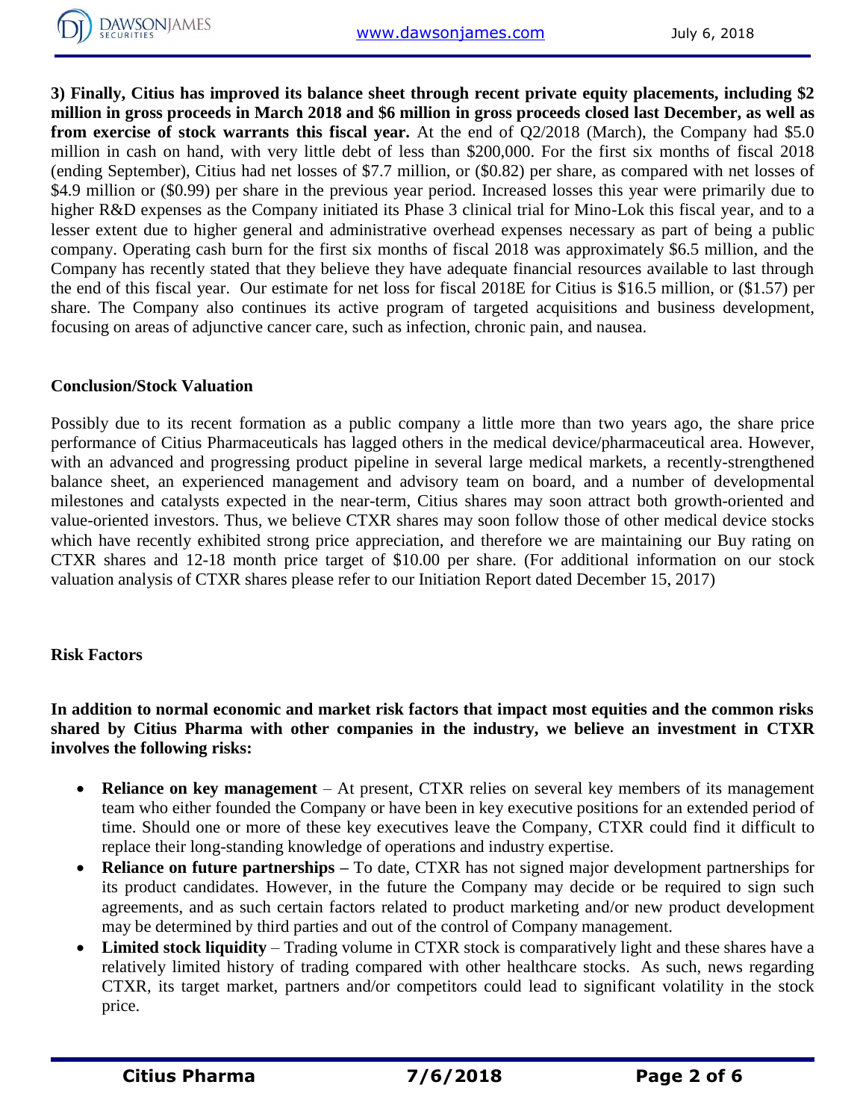**3) Finally, Citius has improved its balance sheet through recent private equity placements, including \$2 million in gross proceeds in March 2018 and \$6 million in gross proceeds closed last December, as well as from exercise of stock warrants this fiscal year.** At the end of Q2/2018 (March), the Company had \$5.0 million in cash on hand, with very little debt of less than \$200,000. For the first six months of fiscal 2018 (ending September), Citius had net losses of \$7.7 million, or (\$0.82) per share, as compared with net losses of \$4.9 million or (\$0.99) per share in the previous year period. Increased losses this year were primarily due to higher R&D expenses as the Company initiated its Phase 3 clinical trial for Mino-Lok this fiscal year, and to a lesser extent due to higher general and administrative overhead expenses necessary as part of being a public company. Operating cash burn for the first six months of fiscal 2018 was approximately \$6.5 million, and the Company has recently stated that they believe they have adequate financial resources available to last through the end of this fiscal year. Our estimate for net loss for fiscal 2018E for Citius is \$16.5 million, or (\$1.57) per share. The Company also continues its active program of targeted acquisitions and business development, focusing on areas of adjunctive cancer care, such as infection, chronic pain, and nausea.

#### **Conclusion/Stock Valuation**

Possibly due to its recent formation as a public company a little more than two years ago, the share price performance of Citius Pharmaceuticals has lagged others in the medical device/pharmaceutical area. However, with an advanced and progressing product pipeline in several large medical markets, a recently-strengthened balance sheet, an experienced management and advisory team on board, and a number of developmental milestones and catalysts expected in the near-term, Citius shares may soon attract both growth-oriented and value-oriented investors. Thus, we believe CTXR shares may soon follow those of other medical device stocks which have recently exhibited strong price appreciation, and therefore we are maintaining our Buy rating on CTXR shares and 12-18 month price target of \$10.00 per share. (For additional information on our stock valuation analysis of CTXR shares please refer to our Initiation Report dated December 15, 2017)

#### **Risk Factors**

**In addition to normal economic and market risk factors that impact most equities and the common risks shared by Citius Pharma with other companies in the industry, we believe an investment in CTXR involves the following risks:**

- **Reliance on key management** At present, CTXR relies on several key members of its management team who either founded the Company or have been in key executive positions for an extended period of time. Should one or more of these key executives leave the Company, CTXR could find it difficult to replace their long-standing knowledge of operations and industry expertise.
- **Reliance on future partnerships –** To date, CTXR has not signed major development partnerships for its product candidates. However, in the future the Company may decide or be required to sign such agreements, and as such certain factors related to product marketing and/or new product development may be determined by third parties and out of the control of Company management.
- Limited stock liquidity Trading volume in CTXR stock is comparatively light and these shares have a relatively limited history of trading compared with other healthcare stocks. As such, news regarding CTXR, its target market, partners and/or competitors could lead to significant volatility in the stock price.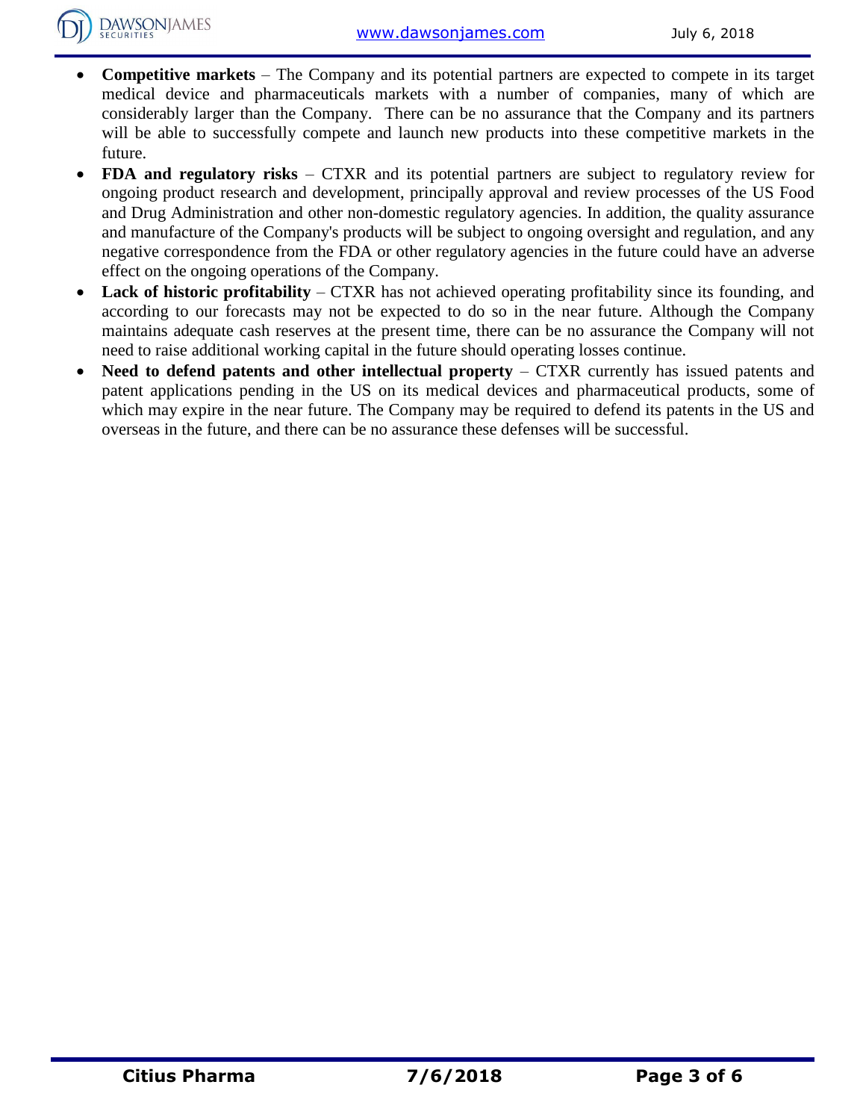

- **Competitive markets**  The Company and its potential partners are expected to compete in its target medical device and pharmaceuticals markets with a number of companies, many of which are considerably larger than the Company. There can be no assurance that the Company and its partners will be able to successfully compete and launch new products into these competitive markets in the future.
- **FDA and regulatory risks** CTXR and its potential partners are subject to regulatory review for ongoing product research and development, principally approval and review processes of the US Food and Drug Administration and other non-domestic regulatory agencies. In addition, the quality assurance and manufacture of the Company's products will be subject to ongoing oversight and regulation, and any negative correspondence from the FDA or other regulatory agencies in the future could have an adverse effect on the ongoing operations of the Company.
- **Lack of historic profitability** CTXR has not achieved operating profitability since its founding, and according to our forecasts may not be expected to do so in the near future. Although the Company maintains adequate cash reserves at the present time, there can be no assurance the Company will not need to raise additional working capital in the future should operating losses continue.
- **Need to defend patents and other intellectual property** CTXR currently has issued patents and patent applications pending in the US on its medical devices and pharmaceutical products, some of which may expire in the near future. The Company may be required to defend its patents in the US and overseas in the future, and there can be no assurance these defenses will be successful.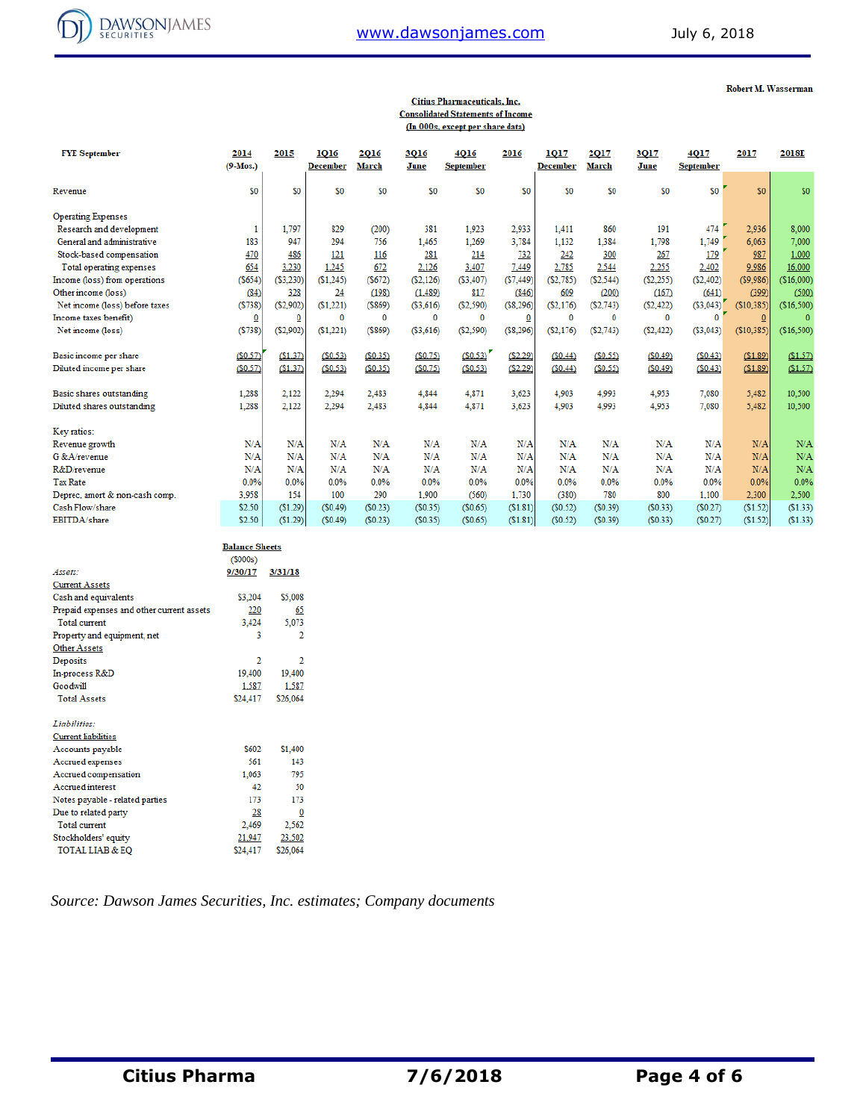

Robert M. Wasserman

#### **Citius Pharmaceuticals, Inc. Consolidated Statements of Income** (In 000s, except per share data)

| <b>FYE</b> September           | 2014<br>$(9-Mos.)$ | 2015       | 1016<br><b>December</b> | 2016<br><b>March</b> | 3016<br>June | 4Q16<br><b>September</b> | 2016                    | 1017<br><b>December</b> | 2017<br><b>March</b> | 3017<br>June | 4017<br><b>September</b> | 2017       | <b>2018E</b> |
|--------------------------------|--------------------|------------|-------------------------|----------------------|--------------|--------------------------|-------------------------|-------------------------|----------------------|--------------|--------------------------|------------|--------------|
| Revenue                        | \$0                | \$0        | \$0                     | \$0                  | \$0          | \$O                      | \$0                     | \$0                     | \$O                  | \$0          | \$0                      | \$0        | \$0          |
| <b>Operating Expenses</b>      |                    |            |                         |                      |              |                          |                         |                         |                      |              |                          |            |              |
| Research and development       | 1                  | 1,797      | 829                     | (200)                | 381          | 1.923                    | 2.933                   | 1.411                   | 860                  | 191          | 474                      | 2.936      | 8,000        |
| General and administrative     | 183                | 947        | 294                     | 756                  | 1.465        | 1.269                    | 3,784                   | 1,132                   | 1.384                | 1.798        | 1,749                    | 6,063      | 7,000        |
| Stock-based compensation       | 470                | 486        | 121                     | 116                  | 281          | 214                      | 732                     | 242                     | 300                  | 267          | 179                      | 987        | 1,000        |
| Total operating expenses       | 654                | 3,230      | 1,245                   | 672                  | 2,126        | 3,407                    | 7,449                   | 2,785                   | 2,544                | 2,255        | 2,402                    | 9,986      | 16,000       |
| Income (loss) from operations  | (S654)             | (S3, 230)  | (\$1,245)               | (S672)               | (S2, 126)    | (S3, 407)                | (S7, 449)               | (S2,785)                | (S2, 544)            | (S2, 255)    | ( \$2,402)               | (S9,986)   | (\$16,000)   |
| Other income (loss)            | (84)               | 328        | 24                      | (198)                | (1.489)      | 817                      | (846)                   | 609                     | (200)                | (167)        | (641)                    | (399)      | (500)        |
| Net income (loss) before taxes | (5738)             | (S2, 902)  | (\$1,221)               | (S869)               | (S3, 616)    | ( \$2,590)               | (S8, 296)               | (S2, 176)               | (S2, 743)            | (S2, 422)    | (S3, 043)                | (S10, 385) | (\$16,500)   |
| Income taxes benefit)          | $\overline{0}$     | ⊻          | $\bf{0}$                | 0                    | $\bf{0}$     | 0                        | $\overline{\mathbf{0}}$ | 0                       | 0                    | 0            | 0                        | $\bf{0}$   |              |
| Net income (loss)              | (5738)             | ( \$2,902) | (\$1,221)               | (S869)               | (S3,616)     | ( \$2,590)               | ( \$8, 296)             | ( \$2,176)              | (S2, 743)            | (S2, 422)    | ( \$3,043)               | (\$10,385) | (\$16,500)   |
| Basic income per share         | (50.57)            | (S1.37)    | (S0.53)                 | (S0.35)              | (S0.75)      | (S0.53)                  | (\$2.29)                | (S0.44)                 | (S0.55)              | (S0.49)      | (S0.43)                  | (\$1.89)   | (S1.57)      |
| Diluted income per share       | (S0.57)            | (S1.37)    | (S0.53)                 | (S0.35)              | (S0.75)      | (S0.53)                  | (\$2.29)                | (S0.44)                 | (S0.55)              | (S0.49)      | (S0.43)                  | (51.89)    | (\$1.57)     |
| Basic shares outstanding       | 1.288              | 2,122      | 2,294                   | 2.483                | 4.844        | 4.871                    | 3,623                   | 4,903                   | 4,993                | 4,953        | 7.080                    | 5,482      | 10,500       |
| Diluted shares outstanding     | 1,288              | 2,122      | 2,294                   | 2,483                | 4,844        | 4,871                    | 3,623                   | 4,903                   | 4,993                | 4,953        | 7,080                    | 5,482      | 10,500       |
| Key ratios:                    |                    |            |                         |                      |              |                          |                         |                         |                      |              |                          |            |              |
| Revenue growth                 | N/A                | N/A        | N/A                     | N/A                  | N/A          | N/A                      | N/A                     | N/A                     | N/A                  | N/A          | N/A                      | N/A        | N/A          |
| G & A/revenue                  | N/A                | N/A        | N/A                     | N/A                  | N/A          | N/A                      | N/A                     | N/A                     | N/A                  | N/A          | N/A                      | N/A        | N/A          |
| R&D/revenue                    | N/A                | N/A        | N/A                     | N/A                  | N/A          | N/A                      | N/A                     | N/A                     | N/A                  | N/A          | N/A                      | N/A        | N/A          |
| <b>Tax Rate</b>                | 0.0%               | 0.0%       | 0.0%                    | 0.0%                 | 0.0%         | 0.0%                     | 0.0%                    | $0.0\%$                 | 0.0%                 | 0.0%         | 0.0%                     | 0.0%       | 0.0%         |
| Deprec, amort & non-cash comp. | 3,958              | 154        | 100                     | 290                  | 1.900        | (560)                    | 1.730                   | (380)                   | 780                  | 800          | 1.100                    | 2.300      | 2.500        |
| Cash Flow/share                | \$2.50             | (S1.29)    | (S0.49)                 | (S0.23)              | (S0.35)      | (S0.65)                  | ( \$1.81)               | (S0.52)                 | (S0.39)              | (S0.33)      | (S0.27)                  | (S1.52)    | (S1.33)      |
| EBITDA/share                   | \$2.50             | (\$1.29)   | (S0.49)                 | (S0.23)              | (S0.35)      | (S0.65)                  | ( \$1.81)               | (S0.52)                 | (S0.39)              | (S0.33)      | (S0.27)                  | (\$1.52)   | (S1.33)      |

|                                           | <b>Balance Sheets</b> |          |  |
|-------------------------------------------|-----------------------|----------|--|
|                                           | (S000s)               |          |  |
| Assets:                                   | 9/30/17               | 3/31/18  |  |
| <b>Current Assets</b>                     |                       |          |  |
| Cash and equivalents                      | \$3.204               | \$5,008  |  |
| Prepaid expenses and other current assets | 220                   | 65       |  |
| <b>Total</b> current                      | 3.424                 | 5.073    |  |
| Property and equipment, net               | 3                     | 2        |  |
| Other Assets                              |                       |          |  |
| Deposits                                  | $\overline{2}$        | 2        |  |
| In-process R&D                            | 19,400                | 19,400   |  |
| Goodwill                                  | 1.587                 | 1.587    |  |
| <b>Total Assets</b>                       | \$24,417              | \$26.064 |  |
| Liabilities:                              |                       |          |  |
| <b>Current liabilities</b>                |                       |          |  |
| Accounts payable                          | \$602                 | \$1,400  |  |
| Accrued expenses                          | 561                   | 143      |  |
| Accrued compensation                      | 1.063                 | 795      |  |
| <b>Accrued</b> interest                   | 42                    | 50       |  |
| Notes payable - related parties           | 173                   | 173      |  |
| Due to related party                      | 28                    | 0        |  |
| <b>Total current</b>                      | 2.469                 | 2,562    |  |
| Stockholders' equity                      | 21.947                | 23.502   |  |
| <b>TOTAL LIAB &amp; EQ</b>                | \$24,417              | \$26,064 |  |

*Source: Dawson James Securities, Inc. estimates; Company documents*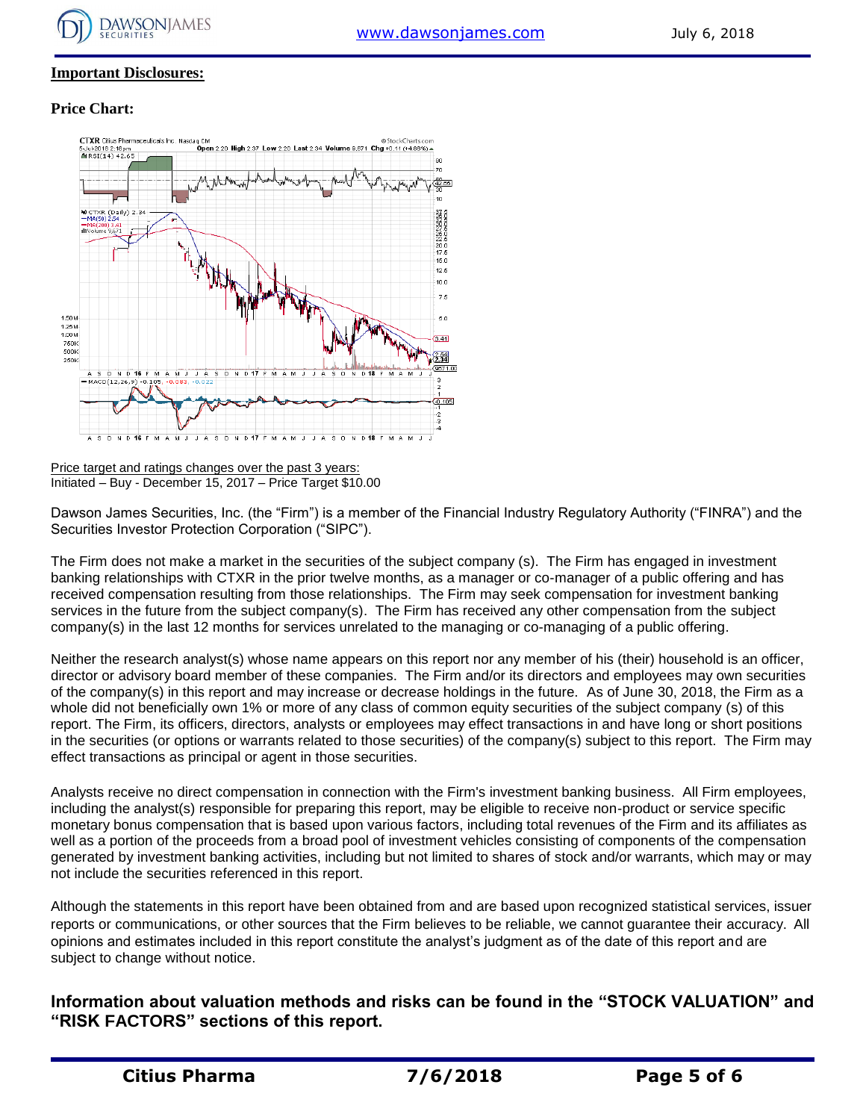

#### **Important Disclosures:**

#### **Price Chart:**



Price target and ratings changes over the past 3 years: Initiated – Buy - December 15, 2017 – Price Target \$10.00

Dawson James Securities, Inc. (the "Firm") is a member of the Financial Industry Regulatory Authority ("FINRA") and the Securities Investor Protection Corporation ("SIPC").

The Firm does not make a market in the securities of the subject company (s). The Firm has engaged in investment banking relationships with CTXR in the prior twelve months, as a manager or co-manager of a public offering and has received compensation resulting from those relationships. The Firm may seek compensation for investment banking services in the future from the subject company(s). The Firm has received any other compensation from the subject company(s) in the last 12 months for services unrelated to the managing or co-managing of a public offering.

Neither the research analyst(s) whose name appears on this report nor any member of his (their) household is an officer, director or advisory board member of these companies. The Firm and/or its directors and employees may own securities of the company(s) in this report and may increase or decrease holdings in the future. As of June 30, 2018, the Firm as a whole did not beneficially own 1% or more of any class of common equity securities of the subject company (s) of this report. The Firm, its officers, directors, analysts or employees may effect transactions in and have long or short positions in the securities (or options or warrants related to those securities) of the company(s) subject to this report. The Firm may effect transactions as principal or agent in those securities.

Analysts receive no direct compensation in connection with the Firm's investment banking business. All Firm employees, including the analyst(s) responsible for preparing this report, may be eligible to receive non-product or service specific monetary bonus compensation that is based upon various factors, including total revenues of the Firm and its affiliates as well as a portion of the proceeds from a broad pool of investment vehicles consisting of components of the compensation generated by investment banking activities, including but not limited to shares of stock and/or warrants, which may or may not include the securities referenced in this report.

Although the statements in this report have been obtained from and are based upon recognized statistical services, issuer reports or communications, or other sources that the Firm believes to be reliable, we cannot guarantee their accuracy. All opinions and estimates included in this report constitute the analyst's judgment as of the date of this report and are subject to change without notice.

**Information about valuation methods and risks can be found in the "STOCK VALUATION" and "RISK FACTORS" sections of this report.**